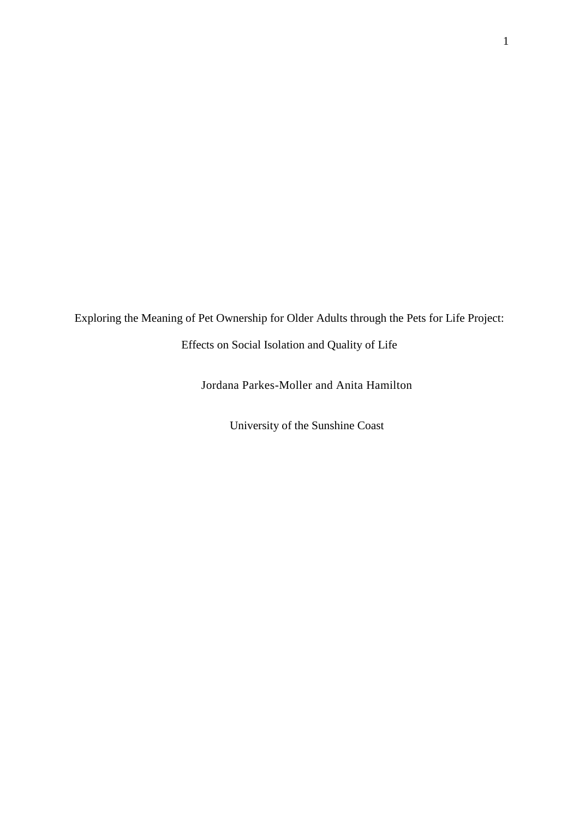Exploring the Meaning of Pet Ownership for Older Adults through the Pets for Life Project:

Effects on Social Isolation and Quality of Life

Jordana Parkes-Moller and Anita Hamilton

University of the Sunshine Coast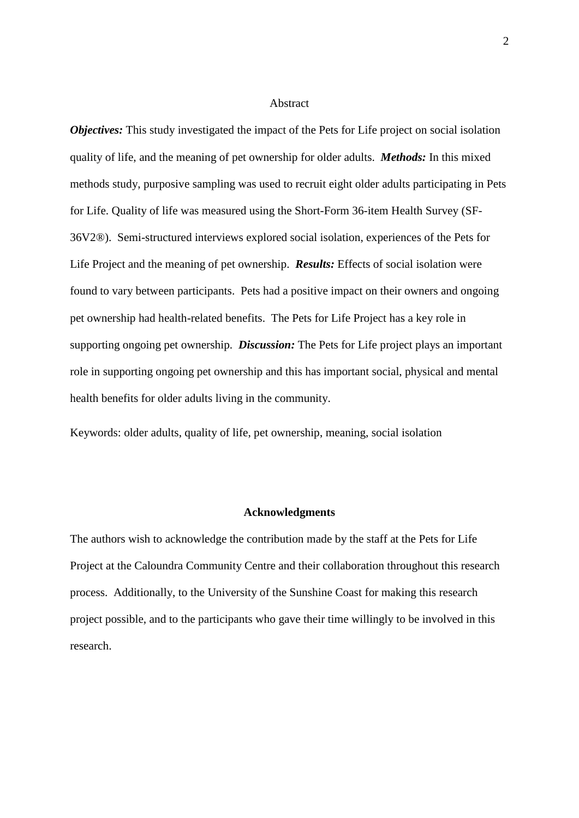#### Abstract

*Objectives:* This study investigated the impact of the Pets for Life project on social isolation quality of life, and the meaning of pet ownership for older adults. *Methods:* In this mixed methods study, purposive sampling was used to recruit eight older adults participating in Pets for Life. Quality of life was measured using the Short-Form 36-item Health Survey (SF-36V2®). Semi-structured interviews explored social isolation, experiences of the Pets for Life Project and the meaning of pet ownership. *Results:* Effects of social isolation were found to vary between participants. Pets had a positive impact on their owners and ongoing pet ownership had health-related benefits. The Pets for Life Project has a key role in supporting ongoing pet ownership. *Discussion:* The Pets for Life project plays an important role in supporting ongoing pet ownership and this has important social, physical and mental health benefits for older adults living in the community.

Keywords: older adults, quality of life, pet ownership, meaning, social isolation

#### **Acknowledgments**

The authors wish to acknowledge the contribution made by the staff at the Pets for Life Project at the Caloundra Community Centre and their collaboration throughout this research process. Additionally, to the University of the Sunshine Coast for making this research project possible, and to the participants who gave their time willingly to be involved in this research.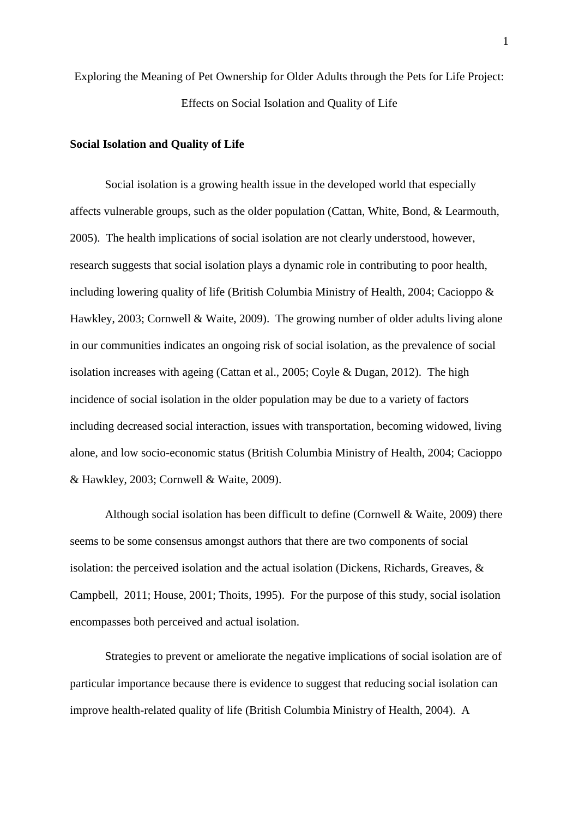Exploring the Meaning of Pet Ownership for Older Adults through the Pets for Life Project: Effects on Social Isolation and Quality of Life

# **Social Isolation and Quality of Life**

Social isolation is a growing health issue in the developed world that especially affects vulnerable groups, such as the older population (Cattan, White, Bond, & Learmouth, 2005). The health implications of social isolation are not clearly understood, however, research suggests that social isolation plays a dynamic role in contributing to poor health, including lowering quality of life (British Columbia Ministry of Health, 2004; Cacioppo & Hawkley, 2003; Cornwell & Waite, 2009). The growing number of older adults living alone in our communities indicates an ongoing risk of social isolation, as the prevalence of social isolation increases with ageing (Cattan et al., 2005; Coyle & Dugan, 2012). The high incidence of social isolation in the older population may be due to a variety of factors including decreased social interaction, issues with transportation, becoming widowed, living alone, and low socio-economic status (British Columbia Ministry of Health, 2004; Cacioppo & Hawkley, 2003; Cornwell & Waite, 2009).

Although social isolation has been difficult to define (Cornwell & Waite, 2009) there seems to be some consensus amongst authors that there are two components of social isolation: the perceived isolation and the actual isolation (Dickens, Richards, Greaves,  $\&$ Campbell, 2011; House, 2001; Thoits, 1995). For the purpose of this study, social isolation encompasses both perceived and actual isolation.

Strategies to prevent or ameliorate the negative implications of social isolation are of particular importance because there is evidence to suggest that reducing social isolation can improve health-related quality of life (British Columbia Ministry of Health, 2004). A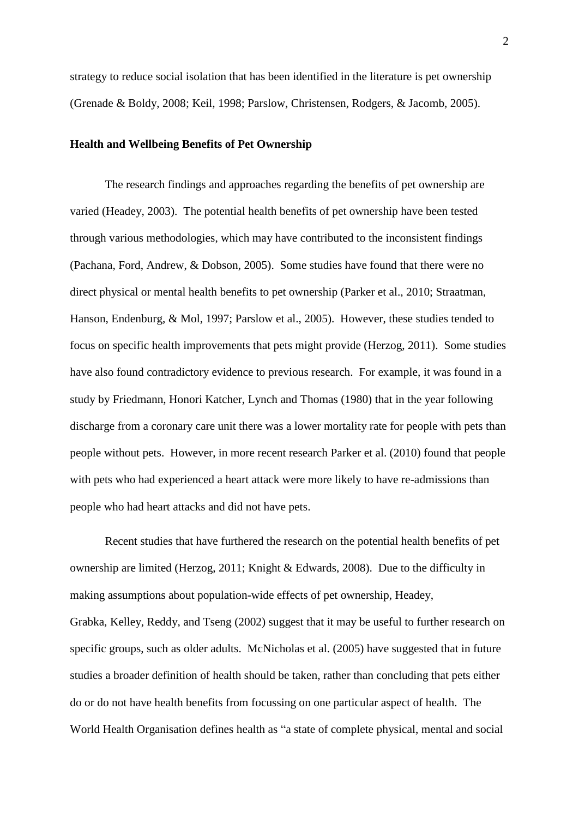strategy to reduce social isolation that has been identified in the literature is pet ownership (Grenade & Boldy, 2008; Keil, 1998; Parslow, Christensen, Rodgers, & Jacomb, 2005).

# **Health and Wellbeing Benefits of Pet Ownership**

The research findings and approaches regarding the benefits of pet ownership are varied (Headey, 2003). The potential health benefits of pet ownership have been tested through various methodologies, which may have contributed to the inconsistent findings (Pachana, Ford, Andrew, & Dobson, 2005). Some studies have found that there were no direct physical or mental health benefits to pet ownership (Parker et al., 2010; Straatman, Hanson, Endenburg, & Mol, 1997; Parslow et al., 2005). However, these studies tended to focus on specific health improvements that pets might provide (Herzog, 2011). Some studies have also found contradictory evidence to previous research. For example, it was found in a study by Friedmann, Honori Katcher, Lynch and Thomas (1980) that in the year following discharge from a coronary care unit there was a lower mortality rate for people with pets than people without pets. However, in more recent research Parker et al. (2010) found that people with pets who had experienced a heart attack were more likely to have re-admissions than people who had heart attacks and did not have pets.

Recent studies that have furthered the research on the potential health benefits of pet ownership are limited (Herzog, 2011; Knight & Edwards, 2008). Due to the difficulty in making assumptions about population-wide effects of pet ownership, Headey, Grabka, Kelley, Reddy, and Tseng (2002) suggest that it may be useful to further research on specific groups, such as older adults. McNicholas et al. (2005) have suggested that in future studies a broader definition of health should be taken, rather than concluding that pets either do or do not have health benefits from focussing on one particular aspect of health. The World Health Organisation defines health as "a state of complete physical, mental and social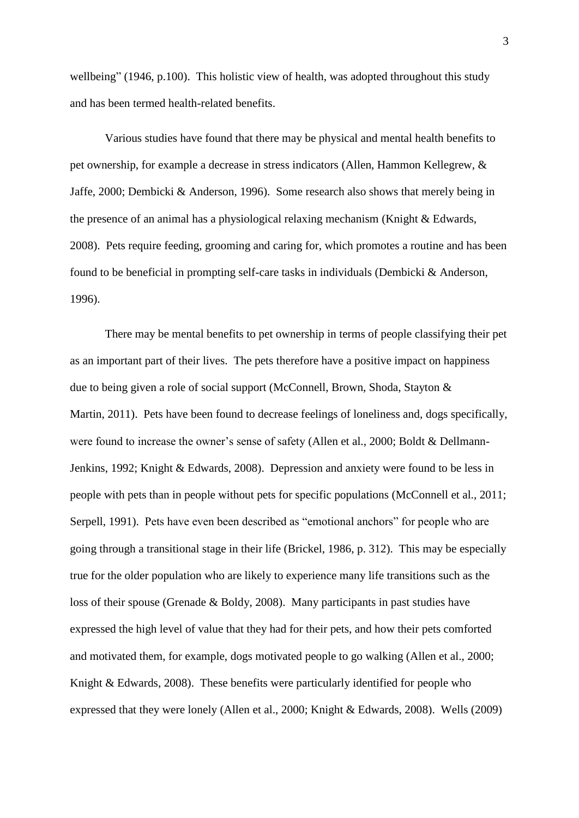wellbeing" (1946, p.100). This holistic view of health, was adopted throughout this study and has been termed health-related benefits.

Various studies have found that there may be physical and mental health benefits to pet ownership, for example a decrease in stress indicators (Allen, Hammon Kellegrew, & Jaffe, 2000; Dembicki & Anderson, 1996). Some research also shows that merely being in the presence of an animal has a physiological relaxing mechanism (Knight & Edwards, 2008). Pets require feeding, grooming and caring for, which promotes a routine and has been found to be beneficial in prompting self-care tasks in individuals (Dembicki  $\&$  Anderson, 1996).

There may be mental benefits to pet ownership in terms of people classifying their pet as an important part of their lives. The pets therefore have a positive impact on happiness due to being given a role of social support (McConnell, Brown, Shoda, Stayton & Martin, 2011). Pets have been found to decrease feelings of loneliness and, dogs specifically, were found to increase the owner's sense of safety (Allen et al., 2000; Boldt & Dellmann-Jenkins, 1992; Knight & Edwards, 2008). Depression and anxiety were found to be less in people with pets than in people without pets for specific populations (McConnell et al., 2011; Serpell, 1991). Pets have even been described as "emotional anchors" for people who are going through a transitional stage in their life (Brickel, 1986, p. 312). This may be especially true for the older population who are likely to experience many life transitions such as the loss of their spouse (Grenade & Boldy, 2008). Many participants in past studies have expressed the high level of value that they had for their pets, and how their pets comforted and motivated them, for example, dogs motivated people to go walking (Allen et al., 2000; Knight & Edwards, 2008). These benefits were particularly identified for people who expressed that they were lonely (Allen et al., 2000; Knight & Edwards, 2008). Wells (2009)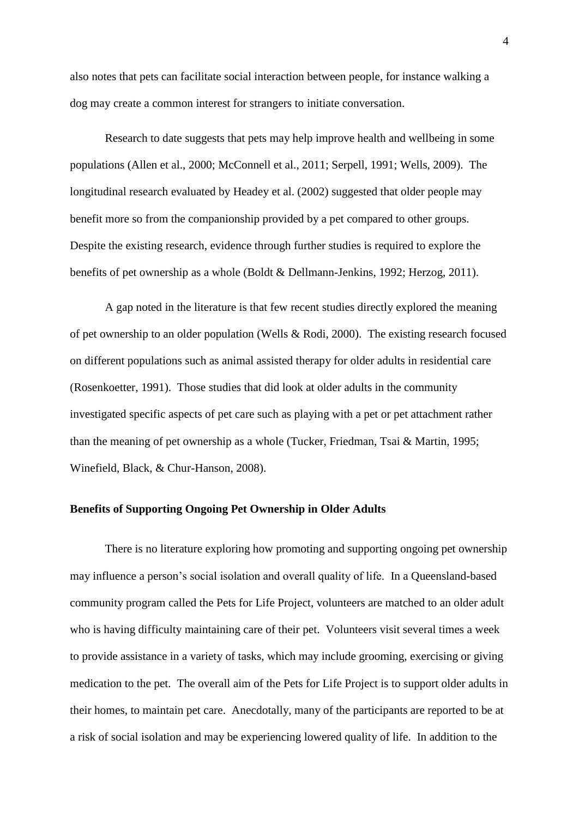also notes that pets can facilitate social interaction between people, for instance walking a dog may create a common interest for strangers to initiate conversation.

Research to date suggests that pets may help improve health and wellbeing in some populations (Allen et al., 2000; McConnell et al., 2011; Serpell, 1991; Wells, 2009). The longitudinal research evaluated by Headey et al. (2002) suggested that older people may benefit more so from the companionship provided by a pet compared to other groups. Despite the existing research, evidence through further studies is required to explore the benefits of pet ownership as a whole (Boldt & Dellmann-Jenkins, 1992; Herzog, 2011).

A gap noted in the literature is that few recent studies directly explored the meaning of pet ownership to an older population (Wells & Rodi, 2000). The existing research focused on different populations such as animal assisted therapy for older adults in residential care (Rosenkoetter, 1991). Those studies that did look at older adults in the community investigated specific aspects of pet care such as playing with a pet or pet attachment rather than the meaning of pet ownership as a whole (Tucker, Friedman, Tsai & Martin, 1995; Winefield, Black, & Chur-Hanson, 2008).

# **Benefits of Supporting Ongoing Pet Ownership in Older Adults**

There is no literature exploring how promoting and supporting ongoing pet ownership may influence a person's social isolation and overall quality of life. In a Queensland-based community program called the Pets for Life Project, volunteers are matched to an older adult who is having difficulty maintaining care of their pet. Volunteers visit several times a week to provide assistance in a variety of tasks, which may include grooming, exercising or giving medication to the pet. The overall aim of the Pets for Life Project is to support older adults in their homes, to maintain pet care. Anecdotally, many of the participants are reported to be at a risk of social isolation and may be experiencing lowered quality of life. In addition to the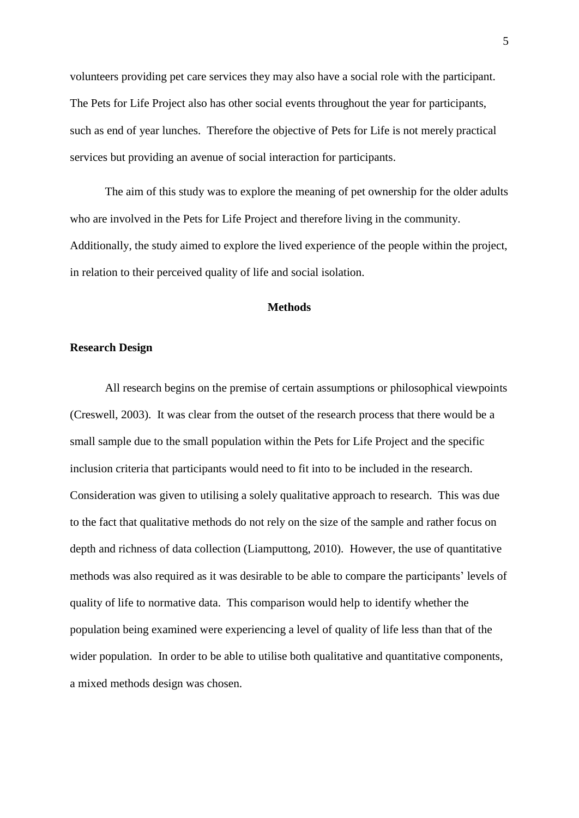volunteers providing pet care services they may also have a social role with the participant. The Pets for Life Project also has other social events throughout the year for participants, such as end of year lunches. Therefore the objective of Pets for Life is not merely practical services but providing an avenue of social interaction for participants.

The aim of this study was to explore the meaning of pet ownership for the older adults who are involved in the Pets for Life Project and therefore living in the community. Additionally, the study aimed to explore the lived experience of the people within the project, in relation to their perceived quality of life and social isolation.

#### **Methods**

### **Research Design**

All research begins on the premise of certain assumptions or philosophical viewpoints (Creswell, 2003). It was clear from the outset of the research process that there would be a small sample due to the small population within the Pets for Life Project and the specific inclusion criteria that participants would need to fit into to be included in the research. Consideration was given to utilising a solely qualitative approach to research. This was due to the fact that qualitative methods do not rely on the size of the sample and rather focus on depth and richness of data collection (Liamputtong, 2010). However, the use of quantitative methods was also required as it was desirable to be able to compare the participants' levels of quality of life to normative data. This comparison would help to identify whether the population being examined were experiencing a level of quality of life less than that of the wider population. In order to be able to utilise both qualitative and quantitative components, a mixed methods design was chosen.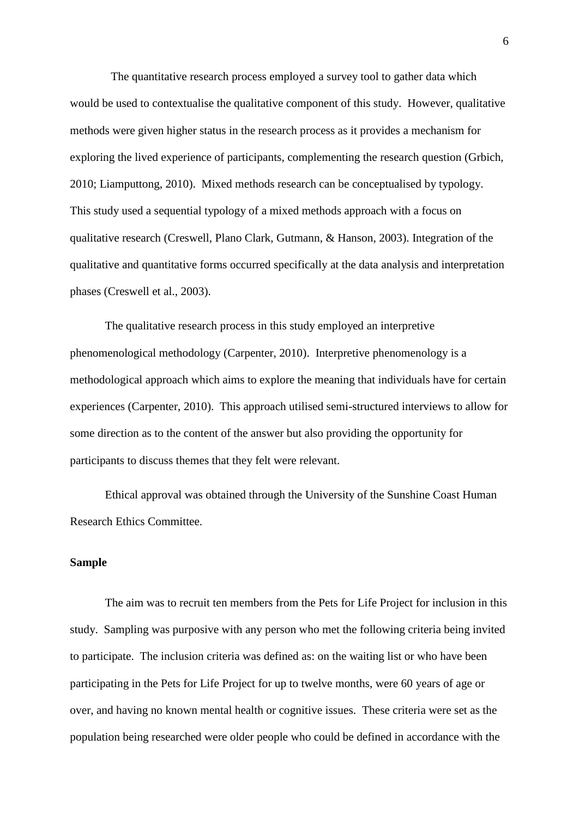The quantitative research process employed a survey tool to gather data which would be used to contextualise the qualitative component of this study. However, qualitative methods were given higher status in the research process as it provides a mechanism for exploring the lived experience of participants, complementing the research question (Grbich, 2010; Liamputtong, 2010). Mixed methods research can be conceptualised by typology. This study used a sequential typology of a mixed methods approach with a focus on qualitative research (Creswell, Plano Clark, Gutmann, & Hanson, 2003). Integration of the qualitative and quantitative forms occurred specifically at the data analysis and interpretation phases (Creswell et al., 2003).

The qualitative research process in this study employed an interpretive phenomenological methodology (Carpenter, 2010). Interpretive phenomenology is a methodological approach which aims to explore the meaning that individuals have for certain experiences (Carpenter, 2010). This approach utilised semi-structured interviews to allow for some direction as to the content of the answer but also providing the opportunity for participants to discuss themes that they felt were relevant.

Ethical approval was obtained through the University of the Sunshine Coast Human Research Ethics Committee.

# **Sample**

The aim was to recruit ten members from the Pets for Life Project for inclusion in this study. Sampling was purposive with any person who met the following criteria being invited to participate. The inclusion criteria was defined as: on the waiting list or who have been participating in the Pets for Life Project for up to twelve months, were 60 years of age or over, and having no known mental health or cognitive issues. These criteria were set as the population being researched were older people who could be defined in accordance with the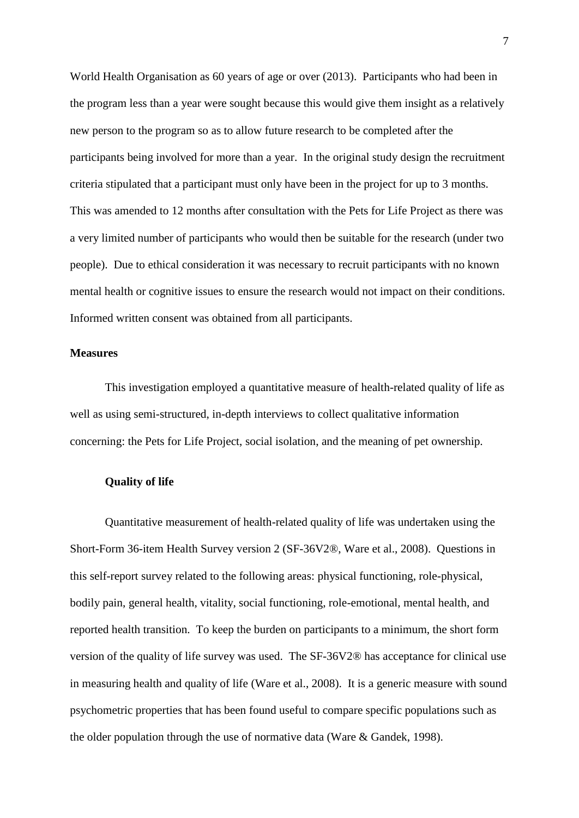World Health Organisation as 60 years of age or over (2013). Participants who had been in the program less than a year were sought because this would give them insight as a relatively new person to the program so as to allow future research to be completed after the participants being involved for more than a year. In the original study design the recruitment criteria stipulated that a participant must only have been in the project for up to 3 months. This was amended to 12 months after consultation with the Pets for Life Project as there was a very limited number of participants who would then be suitable for the research (under two people). Due to ethical consideration it was necessary to recruit participants with no known mental health or cognitive issues to ensure the research would not impact on their conditions. Informed written consent was obtained from all participants.

# **Measures**

This investigation employed a quantitative measure of health-related quality of life as well as using semi-structured, in-depth interviews to collect qualitative information concerning: the Pets for Life Project, social isolation, and the meaning of pet ownership.

## **Quality of life**

Quantitative measurement of health-related quality of life was undertaken using the Short-Form 36-item Health Survey version 2 (SF-36V2®, Ware et al., 2008). Questions in this self-report survey related to the following areas: physical functioning, role-physical, bodily pain, general health, vitality, social functioning, role-emotional, mental health, and reported health transition. To keep the burden on participants to a minimum, the short form version of the quality of life survey was used. The SF-36V2® has acceptance for clinical use in measuring health and quality of life (Ware et al., 2008). It is a generic measure with sound psychometric properties that has been found useful to compare specific populations such as the older population through the use of normative data (Ware & Gandek, 1998).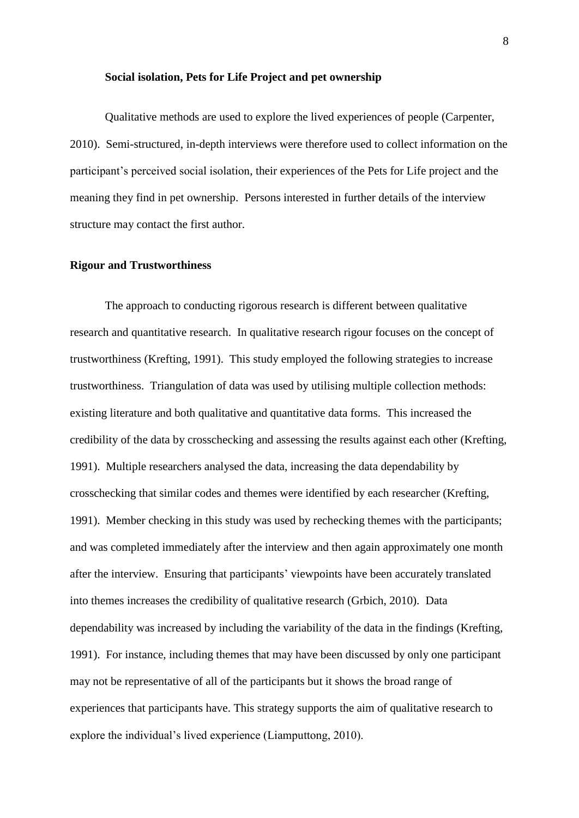#### **Social isolation, Pets for Life Project and pet ownership**

Qualitative methods are used to explore the lived experiences of people (Carpenter, 2010). Semi-structured, in-depth interviews were therefore used to collect information on the participant's perceived social isolation, their experiences of the Pets for Life project and the meaning they find in pet ownership. Persons interested in further details of the interview structure may contact the first author.

#### **Rigour and Trustworthiness**

The approach to conducting rigorous research is different between qualitative research and quantitative research. In qualitative research rigour focuses on the concept of trustworthiness (Krefting, 1991). This study employed the following strategies to increase trustworthiness. Triangulation of data was used by utilising multiple collection methods: existing literature and both qualitative and quantitative data forms. This increased the credibility of the data by crosschecking and assessing the results against each other (Krefting, 1991). Multiple researchers analysed the data, increasing the data dependability by crosschecking that similar codes and themes were identified by each researcher (Krefting, 1991). Member checking in this study was used by rechecking themes with the participants; and was completed immediately after the interview and then again approximately one month after the interview. Ensuring that participants' viewpoints have been accurately translated into themes increases the credibility of qualitative research (Grbich, 2010). Data dependability was increased by including the variability of the data in the findings (Krefting, 1991). For instance, including themes that may have been discussed by only one participant may not be representative of all of the participants but it shows the broad range of experiences that participants have. This strategy supports the aim of qualitative research to explore the individual's lived experience (Liamputtong, 2010).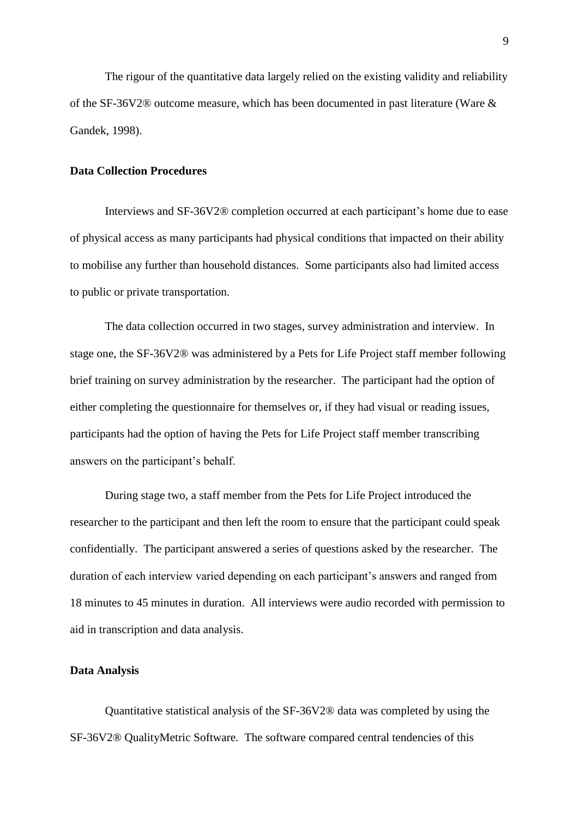The rigour of the quantitative data largely relied on the existing validity and reliability of the SF-36V2® outcome measure, which has been documented in past literature (Ware & Gandek, 1998).

#### **Data Collection Procedures**

Interviews and SF-36V2® completion occurred at each participant's home due to ease of physical access as many participants had physical conditions that impacted on their ability to mobilise any further than household distances. Some participants also had limited access to public or private transportation.

The data collection occurred in two stages, survey administration and interview. In stage one, the SF-36V2® was administered by a Pets for Life Project staff member following brief training on survey administration by the researcher. The participant had the option of either completing the questionnaire for themselves or, if they had visual or reading issues, participants had the option of having the Pets for Life Project staff member transcribing answers on the participant's behalf.

During stage two, a staff member from the Pets for Life Project introduced the researcher to the participant and then left the room to ensure that the participant could speak confidentially. The participant answered a series of questions asked by the researcher. The duration of each interview varied depending on each participant's answers and ranged from 18 minutes to 45 minutes in duration. All interviews were audio recorded with permission to aid in transcription and data analysis.

#### **Data Analysis**

Quantitative statistical analysis of the SF-36V2® data was completed by using the SF-36V2® QualityMetric Software. The software compared central tendencies of this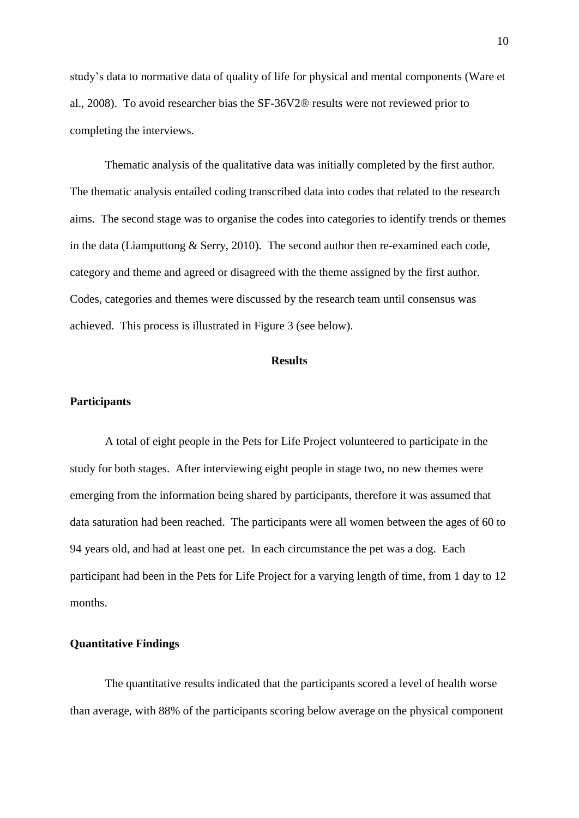study's data to normative data of quality of life for physical and mental components (Ware et al., 2008). To avoid researcher bias the SF-36V2® results were not reviewed prior to completing the interviews.

Thematic analysis of the qualitative data was initially completed by the first author. The thematic analysis entailed coding transcribed data into codes that related to the research aims. The second stage was to organise the codes into categories to identify trends or themes in the data (Liamputtong & Serry, 2010). The second author then re-examined each code, category and theme and agreed or disagreed with the theme assigned by the first author. Codes, categories and themes were discussed by the research team until consensus was achieved. This process is illustrated in Figure 3 (see below).

#### **Results**

#### **Participants**

A total of eight people in the Pets for Life Project volunteered to participate in the study for both stages. After interviewing eight people in stage two, no new themes were emerging from the information being shared by participants, therefore it was assumed that data saturation had been reached. The participants were all women between the ages of 60 to 94 years old, and had at least one pet. In each circumstance the pet was a dog. Each participant had been in the Pets for Life Project for a varying length of time, from 1 day to 12 months.

# **Quantitative Findings**

The quantitative results indicated that the participants scored a level of health worse than average, with 88% of the participants scoring below average on the physical component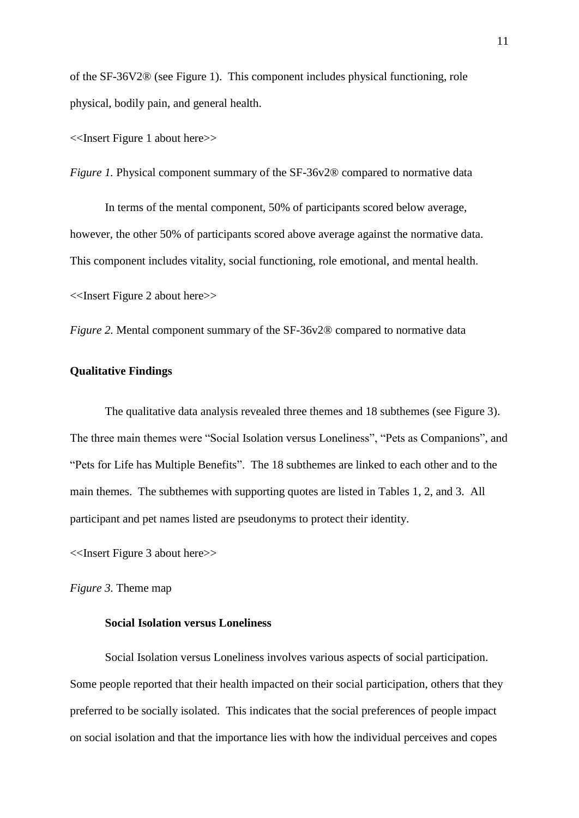of the SF-36V2® (see Figure 1). This component includes physical functioning, role physical, bodily pain, and general health.

<<Insert Figure 1 about here>>

*Figure 1.* Physical component summary of the SF-36v2® compared to normative data

In terms of the mental component, 50% of participants scored below average, however, the other 50% of participants scored above average against the normative data. This component includes vitality, social functioning, role emotional, and mental health. <<Insert Figure 2 about here>>

*Figure 2.* Mental component summary of the SF-36v2® compared to normative data

# **Qualitative Findings**

The qualitative data analysis revealed three themes and 18 subthemes (see Figure 3). The three main themes were "Social Isolation versus Loneliness", "Pets as Companions", and "Pets for Life has Multiple Benefits". The 18 subthemes are linked to each other and to the main themes. The subthemes with supporting quotes are listed in Tables 1, 2, and 3. All participant and pet names listed are pseudonyms to protect their identity.

<<Insert Figure 3 about here>>

*Figure 3.* Theme map

# **Social Isolation versus Loneliness**

Social Isolation versus Loneliness involves various aspects of social participation. Some people reported that their health impacted on their social participation, others that they preferred to be socially isolated. This indicates that the social preferences of people impact on social isolation and that the importance lies with how the individual perceives and copes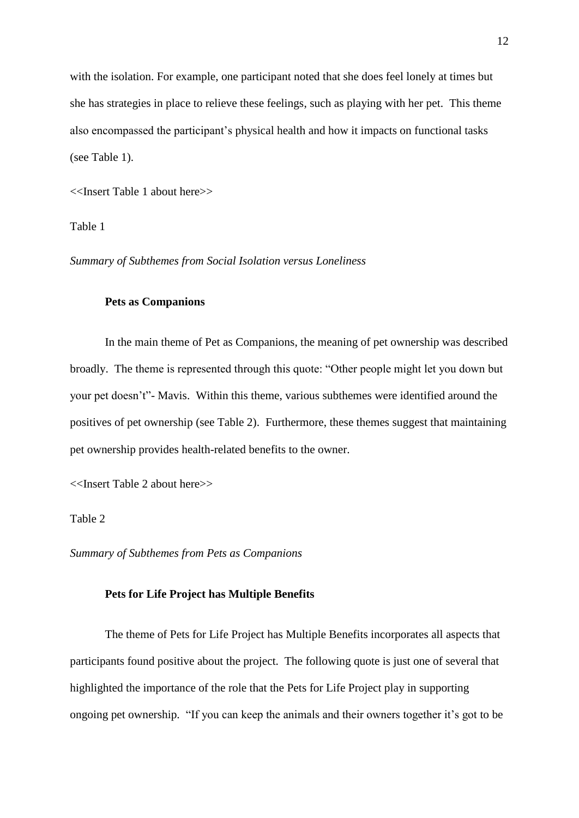with the isolation. For example, one participant noted that she does feel lonely at times but she has strategies in place to relieve these feelings, such as playing with her pet. This theme also encompassed the participant's physical health and how it impacts on functional tasks (see Table 1).

<<Insert Table 1 about here>>

Table 1

*Summary of Subthemes from Social Isolation versus Loneliness* 

# **Pets as Companions**

In the main theme of Pet as Companions, the meaning of pet ownership was described broadly. The theme is represented through this quote: "Other people might let you down but your pet doesn't"- Mavis. Within this theme, various subthemes were identified around the positives of pet ownership (see Table 2). Furthermore, these themes suggest that maintaining pet ownership provides health-related benefits to the owner.

<<Insert Table 2 about here>>

Table 2

*Summary of Subthemes from Pets as Companions*

#### **Pets for Life Project has Multiple Benefits**

The theme of Pets for Life Project has Multiple Benefits incorporates all aspects that participants found positive about the project. The following quote is just one of several that highlighted the importance of the role that the Pets for Life Project play in supporting ongoing pet ownership. "If you can keep the animals and their owners together it's got to be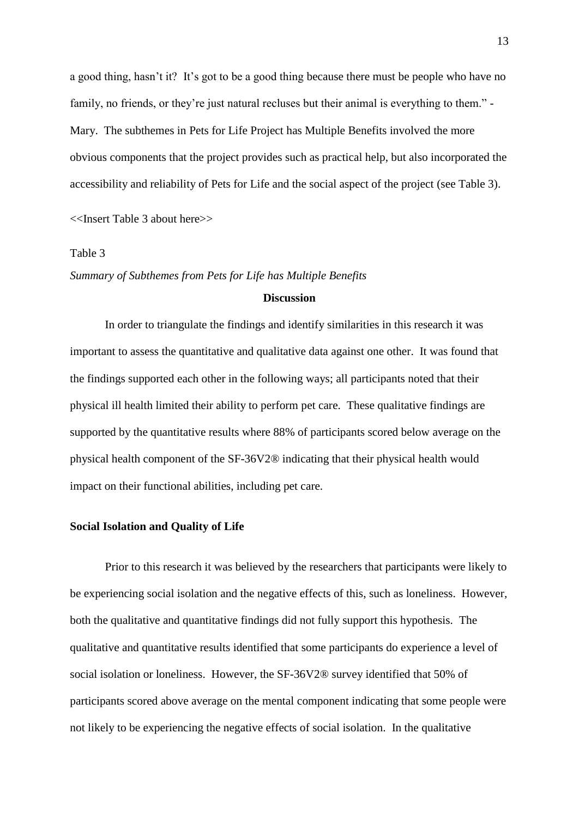a good thing, hasn't it? It's got to be a good thing because there must be people who have no family, no friends, or they're just natural recluses but their animal is everything to them." - Mary. The subthemes in Pets for Life Project has Multiple Benefits involved the more obvious components that the project provides such as practical help, but also incorporated the accessibility and reliability of Pets for Life and the social aspect of the project (see Table 3). <<Insert Table 3 about here>>

# Table 3

*Summary of Subthemes from Pets for Life has Multiple Benefits*

#### **Discussion**

In order to triangulate the findings and identify similarities in this research it was important to assess the quantitative and qualitative data against one other. It was found that the findings supported each other in the following ways; all participants noted that their physical ill health limited their ability to perform pet care. These qualitative findings are supported by the quantitative results where 88% of participants scored below average on the physical health component of the SF-36V2® indicating that their physical health would impact on their functional abilities, including pet care.

#### **Social Isolation and Quality of Life**

Prior to this research it was believed by the researchers that participants were likely to be experiencing social isolation and the negative effects of this, such as loneliness. However, both the qualitative and quantitative findings did not fully support this hypothesis. The qualitative and quantitative results identified that some participants do experience a level of social isolation or loneliness. However, the SF-36V2® survey identified that 50% of participants scored above average on the mental component indicating that some people were not likely to be experiencing the negative effects of social isolation. In the qualitative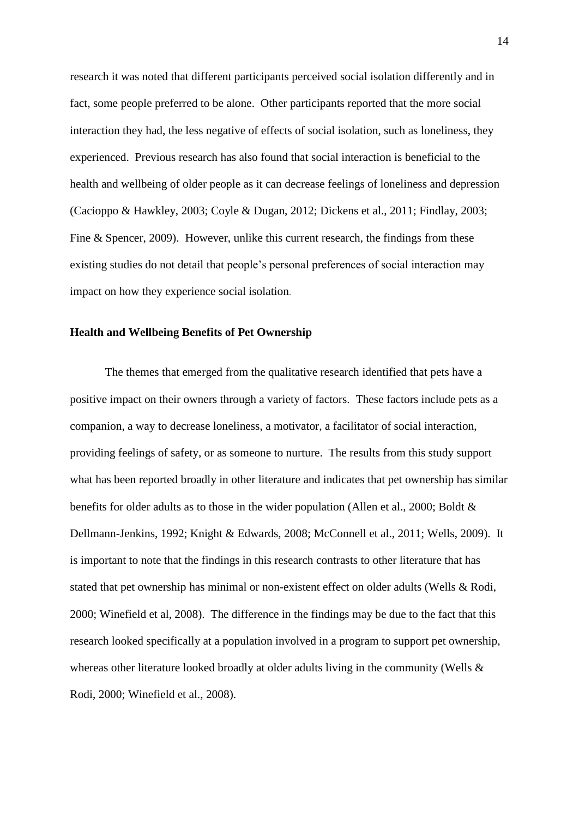research it was noted that different participants perceived social isolation differently and in fact, some people preferred to be alone. Other participants reported that the more social interaction they had, the less negative of effects of social isolation, such as loneliness, they experienced. Previous research has also found that social interaction is beneficial to the health and wellbeing of older people as it can decrease feelings of loneliness and depression (Cacioppo & Hawkley, 2003; Coyle & Dugan, 2012; Dickens et al., 2011; Findlay, 2003; Fine & Spencer, 2009). However, unlike this current research, the findings from these existing studies do not detail that people's personal preferences of social interaction may impact on how they experience social isolation.

#### **Health and Wellbeing Benefits of Pet Ownership**

The themes that emerged from the qualitative research identified that pets have a positive impact on their owners through a variety of factors. These factors include pets as a companion, a way to decrease loneliness, a motivator, a facilitator of social interaction, providing feelings of safety, or as someone to nurture. The results from this study support what has been reported broadly in other literature and indicates that pet ownership has similar benefits for older adults as to those in the wider population (Allen et al., 2000; Boldt & Dellmann-Jenkins, 1992; Knight & Edwards, 2008; McConnell et al., 2011; Wells, 2009). It is important to note that the findings in this research contrasts to other literature that has stated that pet ownership has minimal or non-existent effect on older adults (Wells & Rodi, 2000; Winefield et al, 2008). The difference in the findings may be due to the fact that this research looked specifically at a population involved in a program to support pet ownership, whereas other literature looked broadly at older adults living in the community (Wells & Rodi, 2000; Winefield et al., 2008).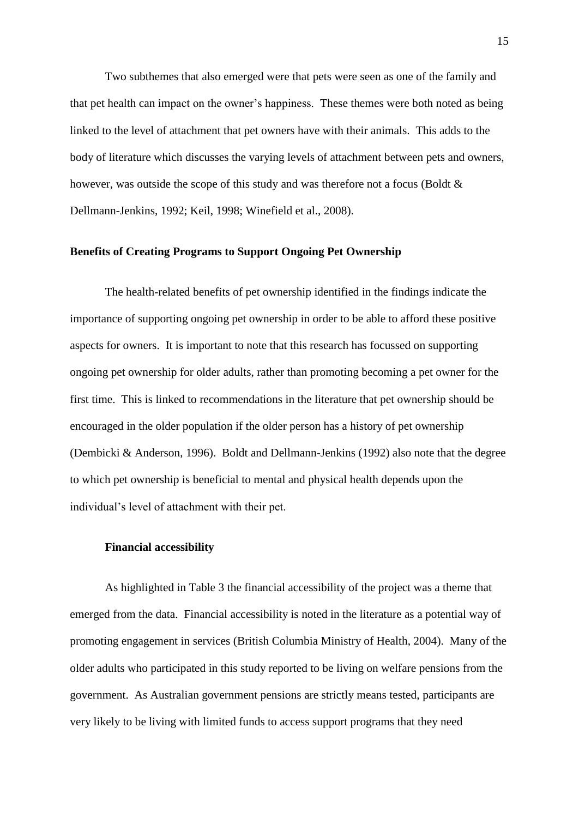Two subthemes that also emerged were that pets were seen as one of the family and that pet health can impact on the owner's happiness. These themes were both noted as being linked to the level of attachment that pet owners have with their animals. This adds to the body of literature which discusses the varying levels of attachment between pets and owners, however, was outside the scope of this study and was therefore not a focus (Boldt & Dellmann-Jenkins, 1992; Keil, 1998; Winefield et al., 2008).

# **Benefits of Creating Programs to Support Ongoing Pet Ownership**

The health-related benefits of pet ownership identified in the findings indicate the importance of supporting ongoing pet ownership in order to be able to afford these positive aspects for owners. It is important to note that this research has focussed on supporting ongoing pet ownership for older adults, rather than promoting becoming a pet owner for the first time. This is linked to recommendations in the literature that pet ownership should be encouraged in the older population if the older person has a history of pet ownership (Dembicki & Anderson, 1996). Boldt and Dellmann-Jenkins (1992) also note that the degree to which pet ownership is beneficial to mental and physical health depends upon the individual's level of attachment with their pet.

### **Financial accessibility**

As highlighted in Table 3 the financial accessibility of the project was a theme that emerged from the data. Financial accessibility is noted in the literature as a potential way of promoting engagement in services (British Columbia Ministry of Health, 2004). Many of the older adults who participated in this study reported to be living on welfare pensions from the government. As Australian government pensions are strictly means tested, participants are very likely to be living with limited funds to access support programs that they need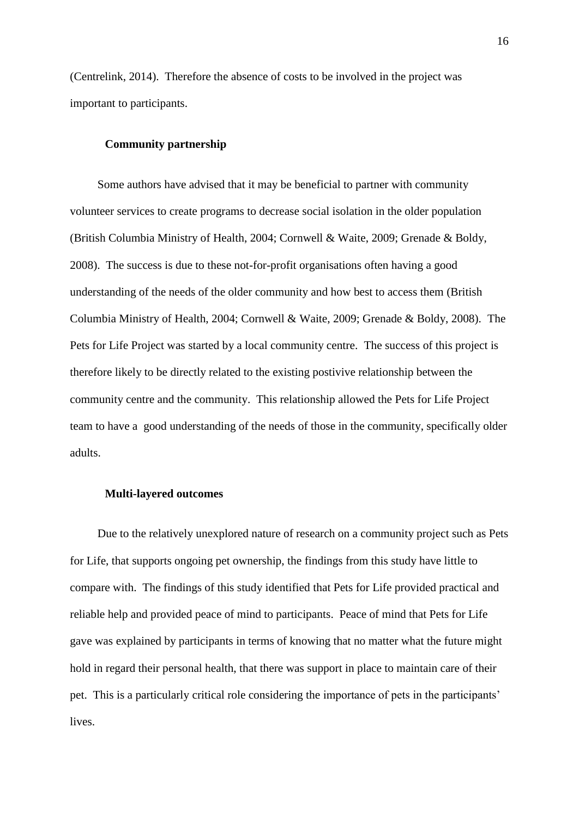(Centrelink, 2014). Therefore the absence of costs to be involved in the project was important to participants.

## **Community partnership**

Some authors have advised that it may be beneficial to partner with community volunteer services to create programs to decrease social isolation in the older population (British Columbia Ministry of Health, 2004; Cornwell & Waite, 2009; Grenade & Boldy, 2008). The success is due to these not-for-profit organisations often having a good understanding of the needs of the older community and how best to access them (British Columbia Ministry of Health, 2004; Cornwell & Waite, 2009; Grenade & Boldy, 2008). The Pets for Life Project was started by a local community centre. The success of this project is therefore likely to be directly related to the existing postivive relationship between the community centre and the community. This relationship allowed the Pets for Life Project team to have a good understanding of the needs of those in the community, specifically older adults.

#### **Multi-layered outcomes**

Due to the relatively unexplored nature of research on a community project such as Pets for Life, that supports ongoing pet ownership, the findings from this study have little to compare with. The findings of this study identified that Pets for Life provided practical and reliable help and provided peace of mind to participants. Peace of mind that Pets for Life gave was explained by participants in terms of knowing that no matter what the future might hold in regard their personal health, that there was support in place to maintain care of their pet. This is a particularly critical role considering the importance of pets in the participants' lives.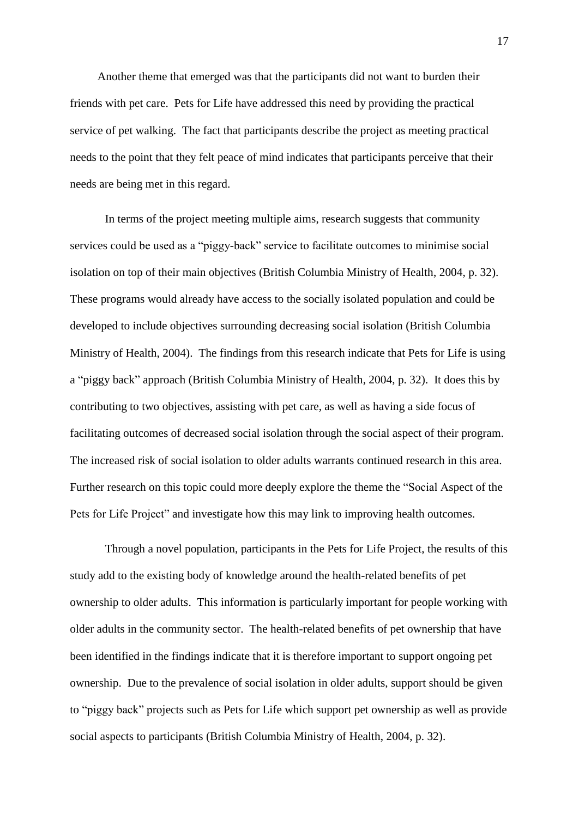Another theme that emerged was that the participants did not want to burden their friends with pet care. Pets for Life have addressed this need by providing the practical service of pet walking. The fact that participants describe the project as meeting practical needs to the point that they felt peace of mind indicates that participants perceive that their needs are being met in this regard.

In terms of the project meeting multiple aims, research suggests that community services could be used as a "piggy-back" service to facilitate outcomes to minimise social isolation on top of their main objectives (British Columbia Ministry of Health, 2004, p. 32). These programs would already have access to the socially isolated population and could be developed to include objectives surrounding decreasing social isolation (British Columbia Ministry of Health, 2004). The findings from this research indicate that Pets for Life is using a "piggy back" approach (British Columbia Ministry of Health, 2004, p. 32). It does this by contributing to two objectives, assisting with pet care, as well as having a side focus of facilitating outcomes of decreased social isolation through the social aspect of their program. The increased risk of social isolation to older adults warrants continued research in this area. Further research on this topic could more deeply explore the theme the "Social Aspect of the Pets for Life Project" and investigate how this may link to improving health outcomes.

Through a novel population, participants in the Pets for Life Project, the results of this study add to the existing body of knowledge around the health-related benefits of pet ownership to older adults. This information is particularly important for people working with older adults in the community sector. The health-related benefits of pet ownership that have been identified in the findings indicate that it is therefore important to support ongoing pet ownership. Due to the prevalence of social isolation in older adults, support should be given to "piggy back" projects such as Pets for Life which support pet ownership as well as provide social aspects to participants (British Columbia Ministry of Health, 2004, p. 32).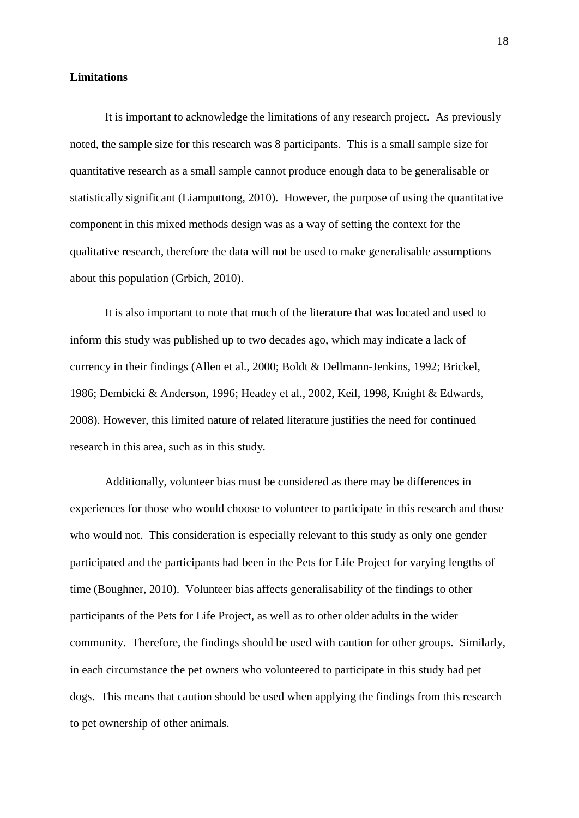#### **Limitations**

It is important to acknowledge the limitations of any research project. As previously noted, the sample size for this research was 8 participants. This is a small sample size for quantitative research as a small sample cannot produce enough data to be generalisable or statistically significant (Liamputtong, 2010). However, the purpose of using the quantitative component in this mixed methods design was as a way of setting the context for the qualitative research, therefore the data will not be used to make generalisable assumptions about this population (Grbich, 2010).

It is also important to note that much of the literature that was located and used to inform this study was published up to two decades ago, which may indicate a lack of currency in their findings (Allen et al., 2000; Boldt & Dellmann-Jenkins, 1992; Brickel, 1986; Dembicki & Anderson, 1996; Headey et al., 2002, Keil, 1998, Knight & Edwards, 2008). However, this limited nature of related literature justifies the need for continued research in this area, such as in this study.

Additionally, volunteer bias must be considered as there may be differences in experiences for those who would choose to volunteer to participate in this research and those who would not. This consideration is especially relevant to this study as only one gender participated and the participants had been in the Pets for Life Project for varying lengths of time (Boughner, 2010). Volunteer bias affects generalisability of the findings to other participants of the Pets for Life Project, as well as to other older adults in the wider community. Therefore, the findings should be used with caution for other groups. Similarly, in each circumstance the pet owners who volunteered to participate in this study had pet dogs. This means that caution should be used when applying the findings from this research to pet ownership of other animals.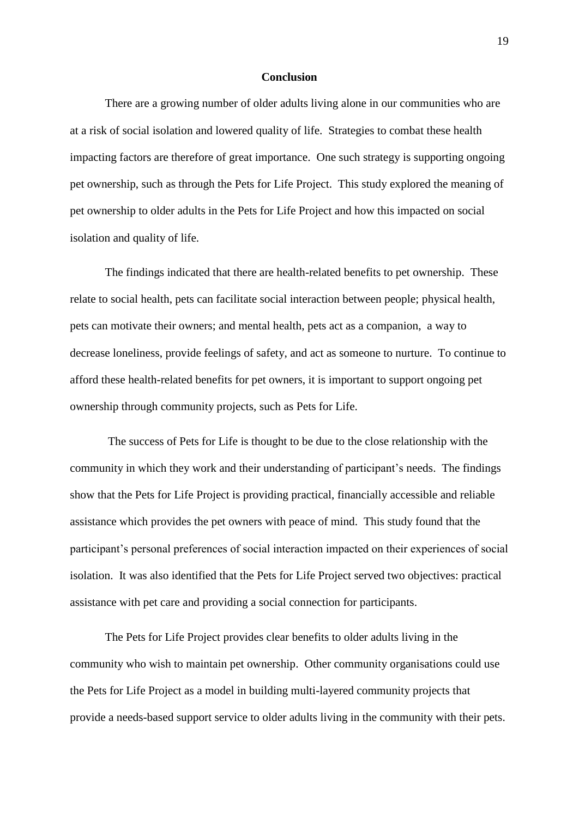#### **Conclusion**

There are a growing number of older adults living alone in our communities who are at a risk of social isolation and lowered quality of life. Strategies to combat these health impacting factors are therefore of great importance. One such strategy is supporting ongoing pet ownership, such as through the Pets for Life Project. This study explored the meaning of pet ownership to older adults in the Pets for Life Project and how this impacted on social isolation and quality of life.

The findings indicated that there are health-related benefits to pet ownership. These relate to social health, pets can facilitate social interaction between people; physical health, pets can motivate their owners; and mental health, pets act as a companion, a way to decrease loneliness, provide feelings of safety, and act as someone to nurture. To continue to afford these health-related benefits for pet owners, it is important to support ongoing pet ownership through community projects, such as Pets for Life.

The success of Pets for Life is thought to be due to the close relationship with the community in which they work and their understanding of participant's needs. The findings show that the Pets for Life Project is providing practical, financially accessible and reliable assistance which provides the pet owners with peace of mind. This study found that the participant's personal preferences of social interaction impacted on their experiences of social isolation. It was also identified that the Pets for Life Project served two objectives: practical assistance with pet care and providing a social connection for participants.

The Pets for Life Project provides clear benefits to older adults living in the community who wish to maintain pet ownership. Other community organisations could use the Pets for Life Project as a model in building multi-layered community projects that provide a needs-based support service to older adults living in the community with their pets.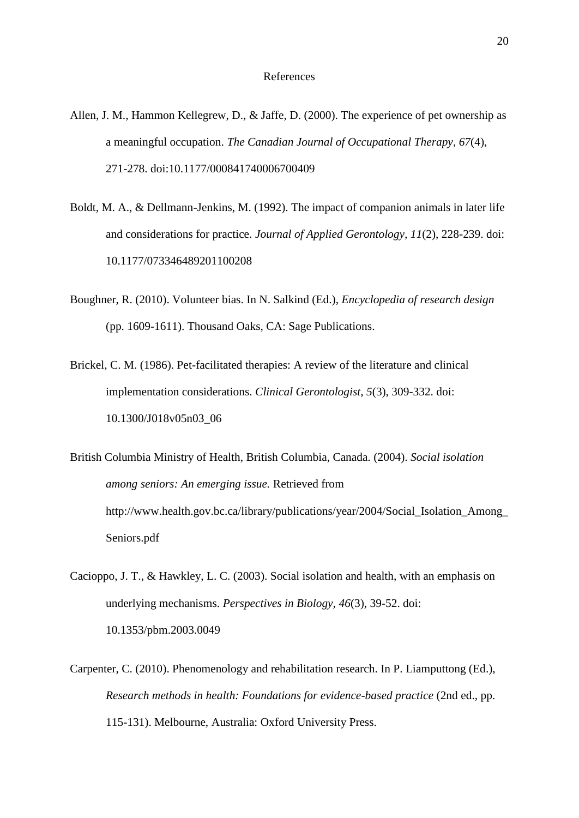- Allen, J. M., Hammon Kellegrew, D., & Jaffe, D. (2000). The experience of pet ownership as a meaningful occupation. *The Canadian Journal of Occupational Therapy*, *67*(4), 271-278. doi:10.1177/000841740006700409
- Boldt, M. A., & Dellmann-Jenkins, M. (1992). The impact of companion animals in later life and considerations for practice. *Journal of Applied Gerontology, 11*(2), 228-239. doi: 10.1177/073346489201100208
- Boughner, R. (2010). Volunteer bias. In N. Salkind (Ed.), *Encyclopedia of research design* (pp. 1609-1611). Thousand Oaks, CA: Sage Publications.
- Brickel, C. M. (1986). Pet-facilitated therapies: A review of the literature and clinical implementation considerations. *Clinical Gerontologist, 5*(3), 309-332. doi: 10.1300/J018v05n03\_06
- British Columbia Ministry of Health, British Columbia, Canada. (2004). *Social isolation among seniors: An emerging issue.* Retrieved from http://www.health.gov.bc.ca/library/publications/year/2004/Social\_Isolation\_Among\_ Seniors.pdf
- Cacioppo, J. T., & Hawkley, L. C. (2003). Social isolation and health, with an emphasis on underlying mechanisms. *Perspectives in Biology, 46*(3), 39-52. doi: 10.1353/pbm.2003.0049
- Carpenter, C. (2010). Phenomenology and rehabilitation research. In P. Liamputtong (Ed.), *Research methods in health: Foundations for evidence-based practice* (2nd ed., pp. 115-131). Melbourne, Australia: Oxford University Press.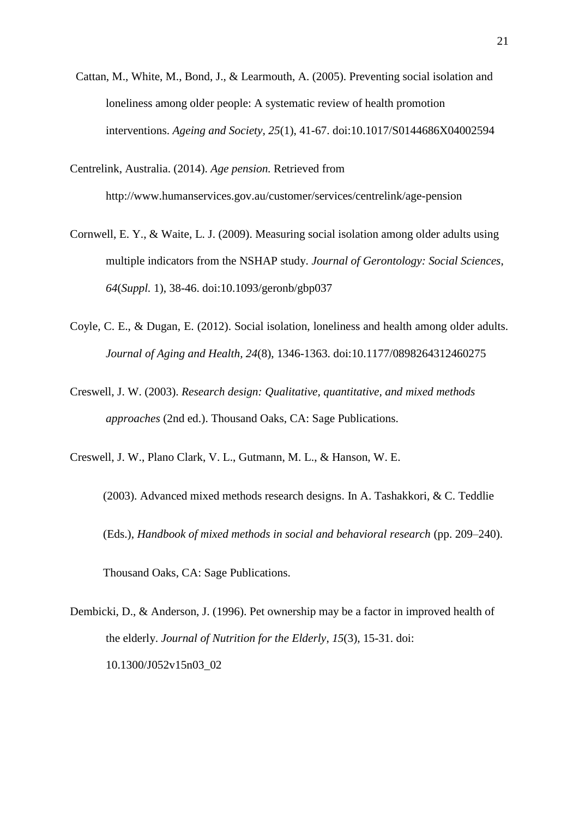- Cattan, M., White, M., Bond, J., & Learmouth, A. (2005). Preventing social isolation and loneliness among older people: A systematic review of health promotion interventions. *Ageing and Society, 25*(1), 41-67. doi:10.1017/S0144686X04002594
- Centrelink, Australia. (2014). *Age pension.* Retrieved from http://www.humanservices.gov.au/customer/services/centrelink/age-pension
- Cornwell, E. Y., & Waite, L. J. (2009). Measuring social isolation among older adults using multiple indicators from the NSHAP study. *Journal of Gerontology: Social Sciences*, *64*(*Suppl.* 1), 38-46. doi:10.1093/geronb/gbp037
- Coyle, C. E., & Dugan, E. (2012). Social isolation, loneliness and health among older adults. *Journal of Aging and Health, 24*(8), 1346-1363. doi:10.1177/0898264312460275
- Creswell, J. W. (2003). *Research design: Qualitative, quantitative, and mixed methods approaches* (2nd ed.). Thousand Oaks, CA: Sage Publications.
- Creswell, J. W., Plano Clark, V. L., Gutmann, M. L., & Hanson, W. E.
	- (2003). Advanced mixed methods research designs. In A. Tashakkori, & C. Teddlie (Eds.), *Handbook of mixed methods in social and behavioral research* (pp. 209–240). Thousand Oaks, CA: Sage Publications.
- Dembicki, D., & Anderson, J. (1996). Pet ownership may be a factor in improved health of the elderly. *Journal of Nutrition for the Elderly*, *15*(3), 15-31. doi: 10.1300/J052v15n03\_02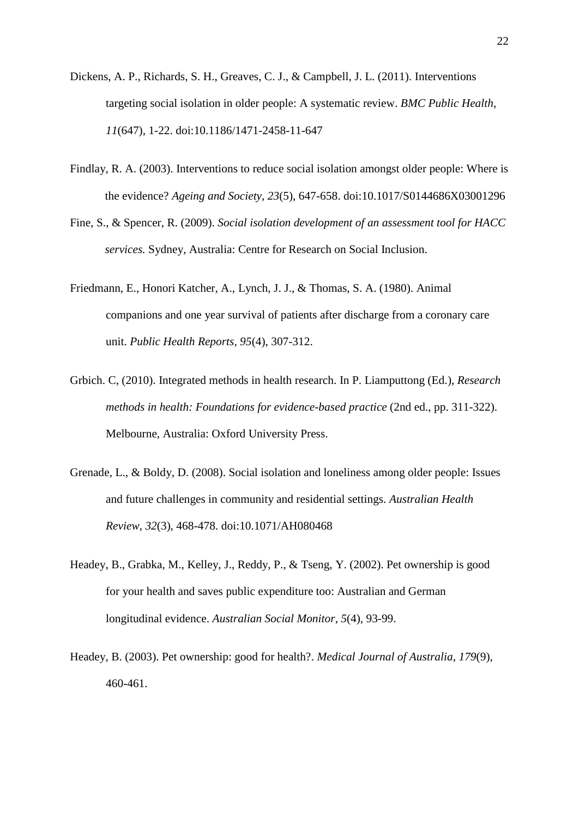- Dickens, A. P., Richards, S. H., Greaves, C. J., & Campbell, J. L. (2011). Interventions targeting social isolation in older people: A systematic review. *BMC Public Health*, *11*(647), 1-22. doi:10.1186/1471-2458-11-647
- Findlay, R. A. (2003). Interventions to reduce social isolation amongst older people: Where is the evidence? *Ageing and Society, 23*(5), 647-658. doi:10.1017/S0144686X03001296
- Fine, S., & Spencer, R. (2009). *Social isolation development of an assessment tool for HACC services.* Sydney, Australia: Centre for Research on Social Inclusion.
- Friedmann, E., Honori Katcher, A., Lynch, J. J., & Thomas, S. A. (1980). Animal companions and one year survival of patients after discharge from a coronary care unit. *Public Health Reports, 95*(4), 307-312.
- Grbich. C, (2010). Integrated methods in health research. In P. Liamputtong (Ed.), *Research methods in health: Foundations for evidence-based practice* (2nd ed., pp. 311-322). Melbourne, Australia: Oxford University Press.
- Grenade, L., & Boldy, D. (2008). Social isolation and loneliness among older people: Issues and future challenges in community and residential settings. *Australian Health Review*, *32*(3), 468-478. doi:10.1071/AH080468
- Headey, B., Grabka, M., Kelley, J., Reddy, P., & Tseng, Y. (2002). Pet ownership is good for your health and saves public expenditure too: Australian and German longitudinal evidence. *Australian Social Monitor*, *5*(4), 93-99.
- Headey, B. (2003). Pet ownership: good for health?. *Medical Journal of Australia*, *179*(9), 460-461.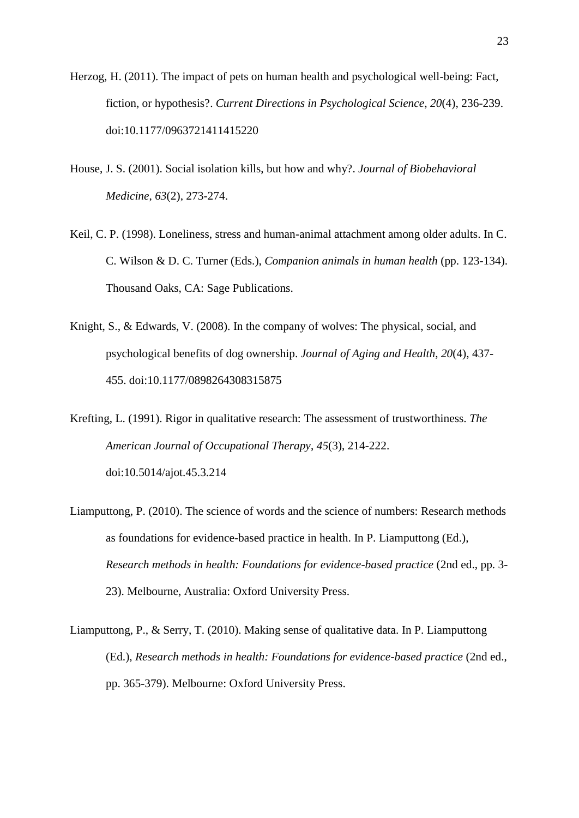- Herzog, H. (2011). The impact of pets on human health and psychological well-being: Fact, fiction, or hypothesis?. *Current Directions in Psychological Science*, *20*(4), 236-239. doi:10.1177/0963721411415220
- House, J. S. (2001). Social isolation kills, but how and why?. *Journal of Biobehavioral Medicine*, *63*(2), 273-274.
- Keil, C. P. (1998). Loneliness, stress and human-animal attachment among older adults. In C. C. Wilson & D. C. Turner (Eds.), *Companion animals in human health* (pp. 123-134). Thousand Oaks, CA: Sage Publications.
- Knight, S., & Edwards, V. (2008). In the company of wolves: The physical, social, and psychological benefits of dog ownership. *Journal of Aging and Health*, *20*(4), 437- 455. doi:10.1177/0898264308315875
- Krefting, L. (1991). Rigor in qualitative research: The assessment of trustworthiness. *The American Journal of Occupational Therapy*, *45*(3), 214-222. doi:10.5014/ajot.45.3.214
- Liamputtong, P. (2010). The science of words and the science of numbers: Research methods as foundations for evidence-based practice in health. In P. Liamputtong (Ed.), *Research methods in health: Foundations for evidence-based practice* (2nd ed., pp. 3- 23). Melbourne, Australia: Oxford University Press.
- Liamputtong, P., & Serry, T. (2010). Making sense of qualitative data. In P. Liamputtong (Ed.), *Research methods in health: Foundations for evidence-based practice* (2nd ed., pp. 365-379). Melbourne: Oxford University Press.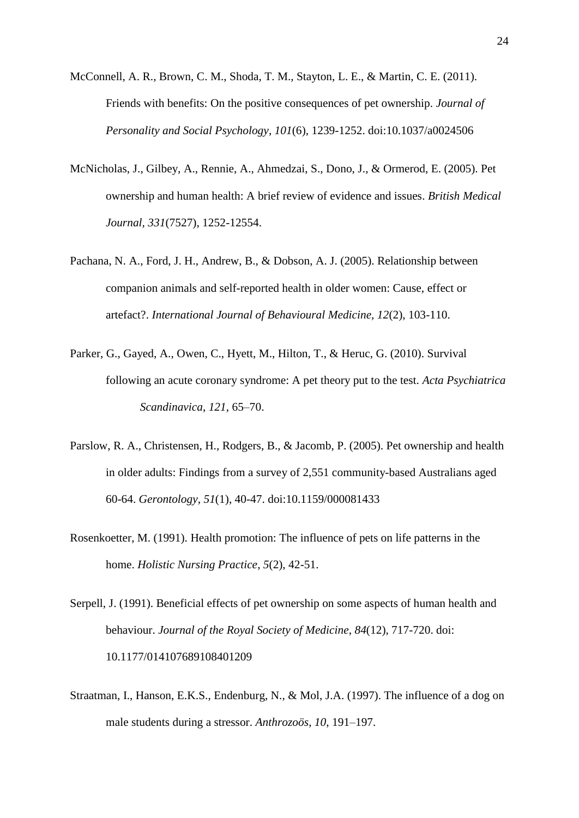McConnell, A. R., Brown, C. M., Shoda, T. M., Stayton, L. E., & Martin, C. E. (2011). Friends with benefits: On the positive consequences of pet ownership. *Journal of Personality and Social Psychology*, *101*(6), 1239-1252. doi:10.1037/a0024506

- McNicholas, J., Gilbey, A., Rennie, A., Ahmedzai, S., Dono, J., & Ormerod, E. (2005). Pet ownership and human health: A brief review of evidence and issues. *British Medical Journal, 331*(7527), 1252-12554.
- Pachana, N. A., Ford, J. H., Andrew, B., & Dobson, A. J. (2005). Relationship between companion animals and self-reported health in older women: Cause, effect or artefact?. *International Journal of Behavioural Medicine, 12*(2), 103-110.
- Parker, G., Gayed, A., Owen, C., Hyett, M., Hilton, T., & Heruc, G. (2010). Survival following an acute coronary syndrome: A pet theory put to the test. *Acta Psychiatrica Scandinavica*, *121*, 65–70.
- Parslow, R. A., Christensen, H., Rodgers, B., & Jacomb, P. (2005). Pet ownership and health in older adults: Findings from a survey of 2,551 community-based Australians aged 60-64. *Gerontology*, *51*(1), 40-47. doi:10.1159/000081433
- Rosenkoetter, M. (1991). Health promotion: The influence of pets on life patterns in the home. *Holistic Nursing Practice*, *5*(2), 42-51.
- Serpell, J. (1991). Beneficial effects of pet ownership on some aspects of human health and behaviour. *Journal of the Royal Society of Medicine*, *84*(12), 717-720. doi: 10.1177/014107689108401209
- Straatman, I., Hanson, E.K.S., Endenburg, N., & Mol, J.A. (1997). The influence of a dog on male students during a stressor. *Anthrozoös*, *10*, 191–197.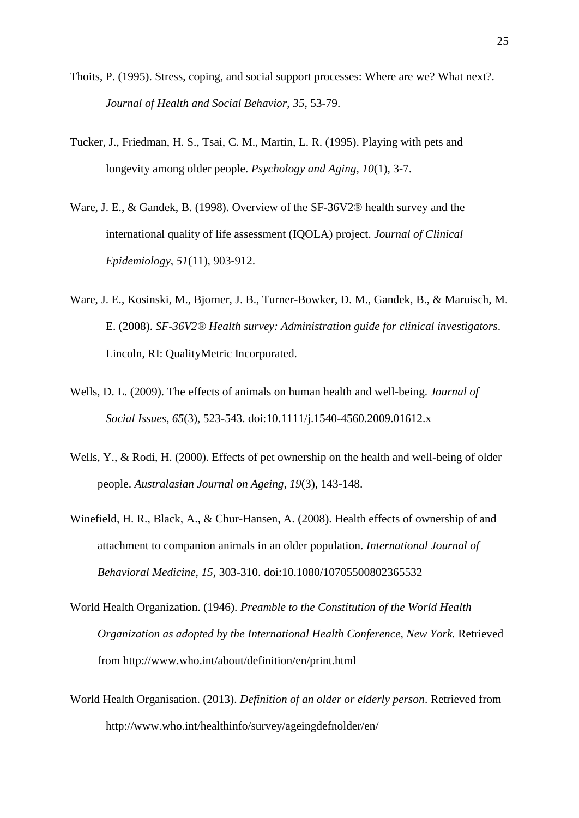- Thoits, P. (1995). Stress, coping, and social support processes: Where are we? What next?. *Journal of Health and Social Behavior*, *35*, 53-79.
- Tucker, J., Friedman, H. S., Tsai, C. M., Martin, L. R. (1995). Playing with pets and longevity among older people. *Psychology and Aging, 10*(1), 3-7.
- Ware, J. E., & Gandek, B. (1998). Overview of the SF-36V2® health survey and the international quality of life assessment (IQOLA) project. *Journal of Clinical Epidemiology*, *51*(11), 903-912.
- Ware, J. E., Kosinski, M., Bjorner, J. B., Turner-Bowker, D. M., Gandek, B., & Maruisch, M. E. (2008). *SF-36V2® Health survey: Administration guide for clinical investigators*. Lincoln, RI: QualityMetric Incorporated.
- Wells, D. L. (2009). The effects of animals on human health and well-being. *Journal of Social Issues*, *65*(3), 523-543. doi:10.1111/j.1540-4560.2009.01612.x
- Wells, Y., & Rodi, H. (2000). Effects of pet ownership on the health and well-being of older people. *Australasian Journal on Ageing, 19*(3), 143-148.
- Winefield, H. R., Black, A., & Chur-Hansen, A. (2008). Health effects of ownership of and attachment to companion animals in an older population. *International Journal of Behavioral Medicine, 15*, 303-310. doi:10.1080/10705500802365532
- World Health Organization. (1946). *Preamble to the Constitution of the World Health Organization as adopted by the International Health Conference, New York.* Retrieved from http://www.who.int/about/definition/en/print.html
- World Health Organisation. (2013). *Definition of an older or elderly person*. Retrieved from http://www.who.int/healthinfo/survey/ageingdefnolder/en/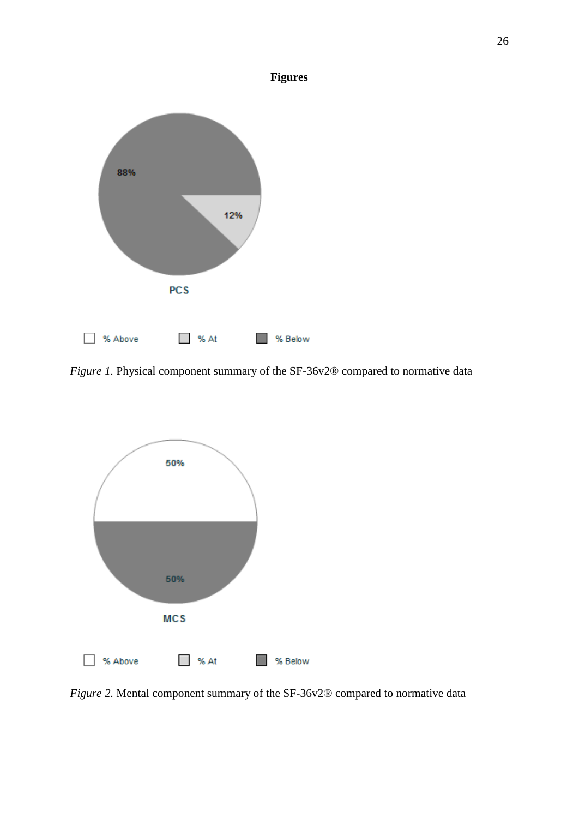

*Figure 1.* Physical component summary of the SF-36v2® compared to normative data



*Figure 2.* Mental component summary of the SF-36v2® compared to normative data

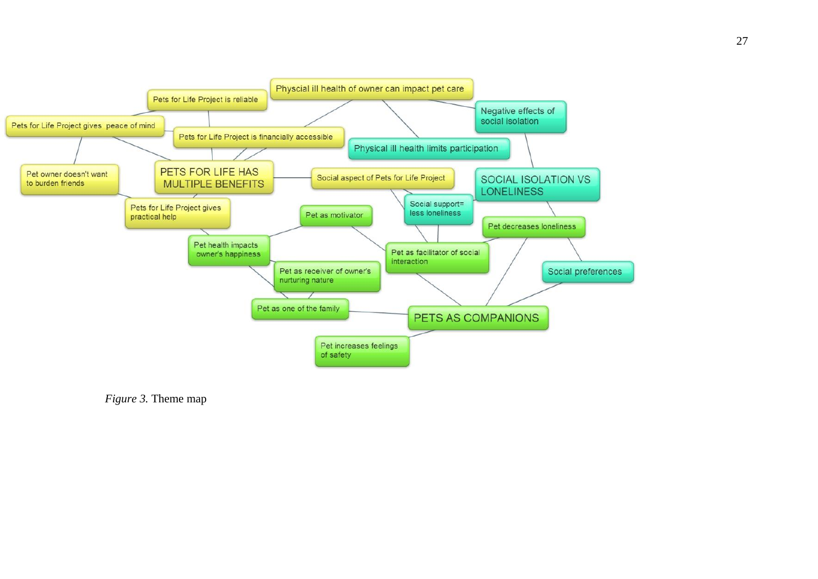

*Figure 3.* Theme map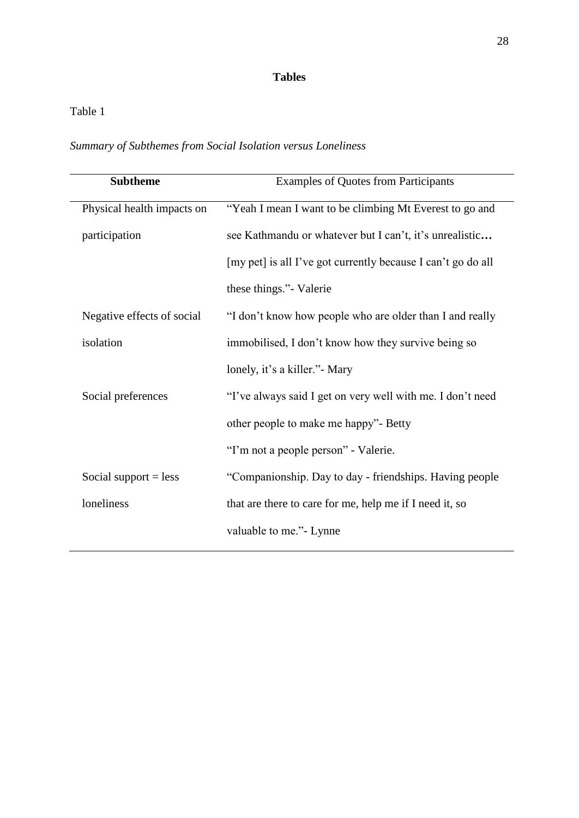# **Tables**

# Table 1

| Summary of Subthemes from Social Isolation versus Loneliness |  |
|--------------------------------------------------------------|--|
|--------------------------------------------------------------|--|

| <b>Examples of Quotes from Participants</b>                  |
|--------------------------------------------------------------|
| "Yeah I mean I want to be climbing Mt Everest to go and      |
| see Kathmandu or whatever but I can't, it's unrealistic      |
| [my pet] is all I've got currently because I can't go do all |
| these things." Valerie                                       |
| "I don't know how people who are older than I and really     |
| immobilised, I don't know how they survive being so          |
| lonely, it's a killer." Mary                                 |
| "I've always said I get on very well with me. I don't need   |
| other people to make me happy"- Betty                        |
| "I'm not a people person" - Valerie.                         |
| "Companionship. Day to day - friendships. Having people      |
| that are there to care for me, help me if I need it, so      |
| valuable to me." - Lynne                                     |
|                                                              |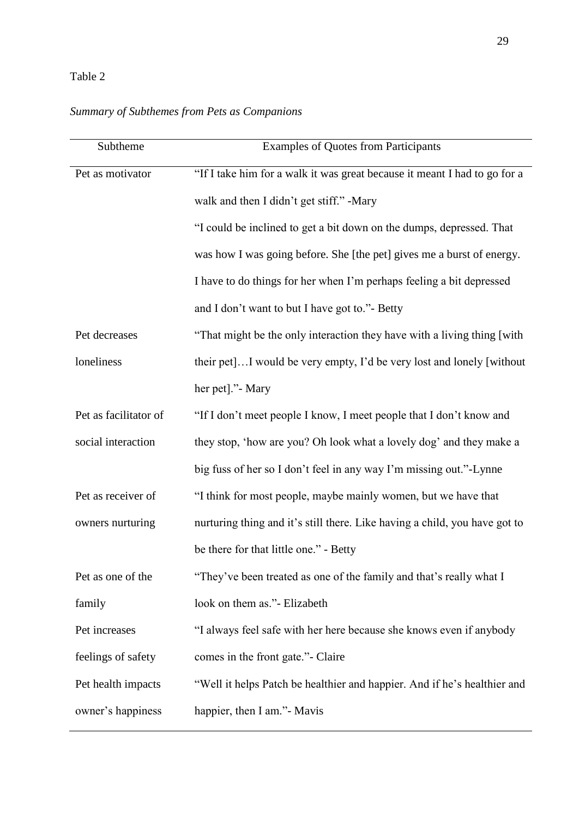# Table 2

# *Summary of Subthemes from Pets as Companions*

| "If I take him for a walk it was great because it meant I had to go for a<br>"I could be inclined to get a bit down on the dumps, depressed. That<br>was how I was going before. She [the pet] gives me a burst of energy.<br>I have to do things for her when I'm perhaps feeling a bit depressed |
|----------------------------------------------------------------------------------------------------------------------------------------------------------------------------------------------------------------------------------------------------------------------------------------------------|
|                                                                                                                                                                                                                                                                                                    |
|                                                                                                                                                                                                                                                                                                    |
|                                                                                                                                                                                                                                                                                                    |
|                                                                                                                                                                                                                                                                                                    |
|                                                                                                                                                                                                                                                                                                    |
|                                                                                                                                                                                                                                                                                                    |
| "That might be the only interaction they have with a living thing [with                                                                                                                                                                                                                            |
| their pet I would be very empty, I'd be very lost and lonely [without]                                                                                                                                                                                                                             |
|                                                                                                                                                                                                                                                                                                    |
|                                                                                                                                                                                                                                                                                                    |
| they stop, 'how are you? Oh look what a lovely dog' and they make a                                                                                                                                                                                                                                |
|                                                                                                                                                                                                                                                                                                    |
|                                                                                                                                                                                                                                                                                                    |
| nurturing thing and it's still there. Like having a child, you have got to                                                                                                                                                                                                                         |
|                                                                                                                                                                                                                                                                                                    |
|                                                                                                                                                                                                                                                                                                    |
|                                                                                                                                                                                                                                                                                                    |
| "I always feel safe with her here because she knows even if anybody                                                                                                                                                                                                                                |
|                                                                                                                                                                                                                                                                                                    |
| "Well it helps Patch be healthier and happier. And if he's healthier and                                                                                                                                                                                                                           |
|                                                                                                                                                                                                                                                                                                    |
| "If I don't meet people I know, I meet people that I don't know and                                                                                                                                                                                                                                |